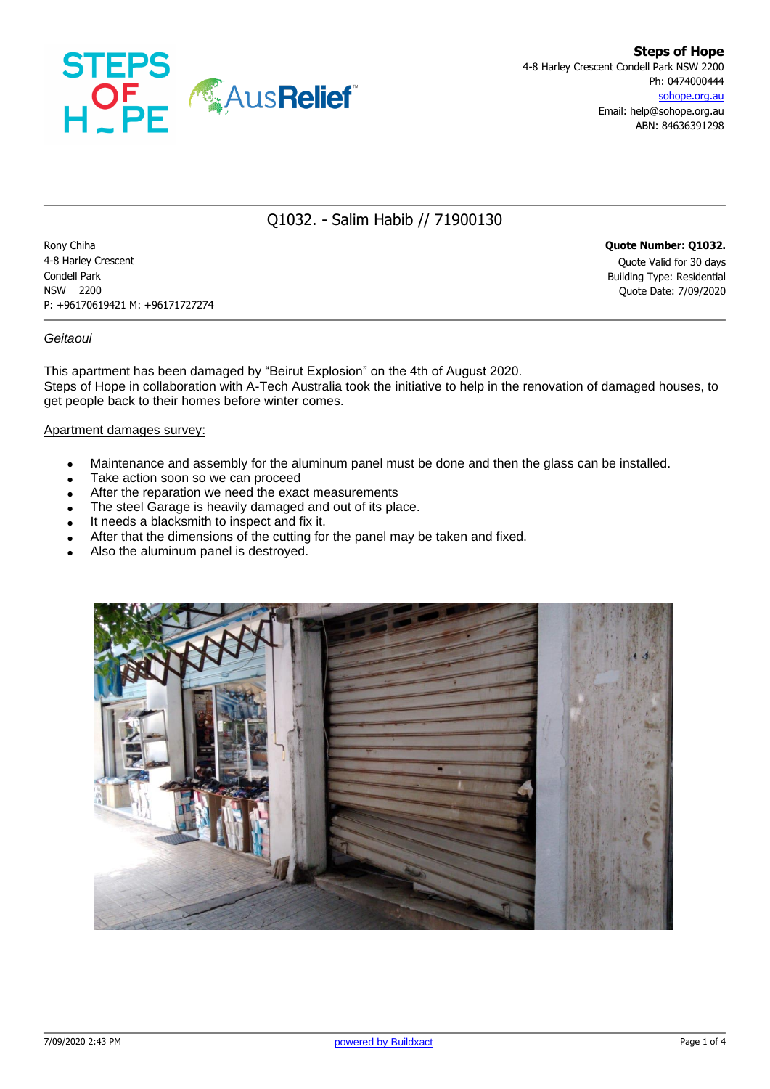

# Q1032. - Salim Habib // 71900130

Rony Chiha **Quote Number: Q1032.** 4-8 Harley Crescent Quote Valid for 30 days Condell Park Building Type: Residential NSW 2200 Quote Date: 7/09/2020 P: +96170619421 M: +96171727274

#### *Geitaoui*

This apartment has been damaged by "Beirut Explosion" on the 4th of August 2020. Steps of Hope in collaboration with A-Tech Australia took the initiative to help in the renovation of damaged houses, to get people back to their homes before winter comes.

#### Apartment damages survey:

- Maintenance and assembly for the aluminum panel must be done and then the glass can be installed.
- Take action soon so we can proceed
- After the reparation we need the exact measurements
- The steel Garage is heavily damaged and out of its place.
- It needs a blacksmith to inspect and fix it.
- After that the dimensions of the cutting for the panel may be taken and fixed.
- Also the aluminum panel is destroyed.

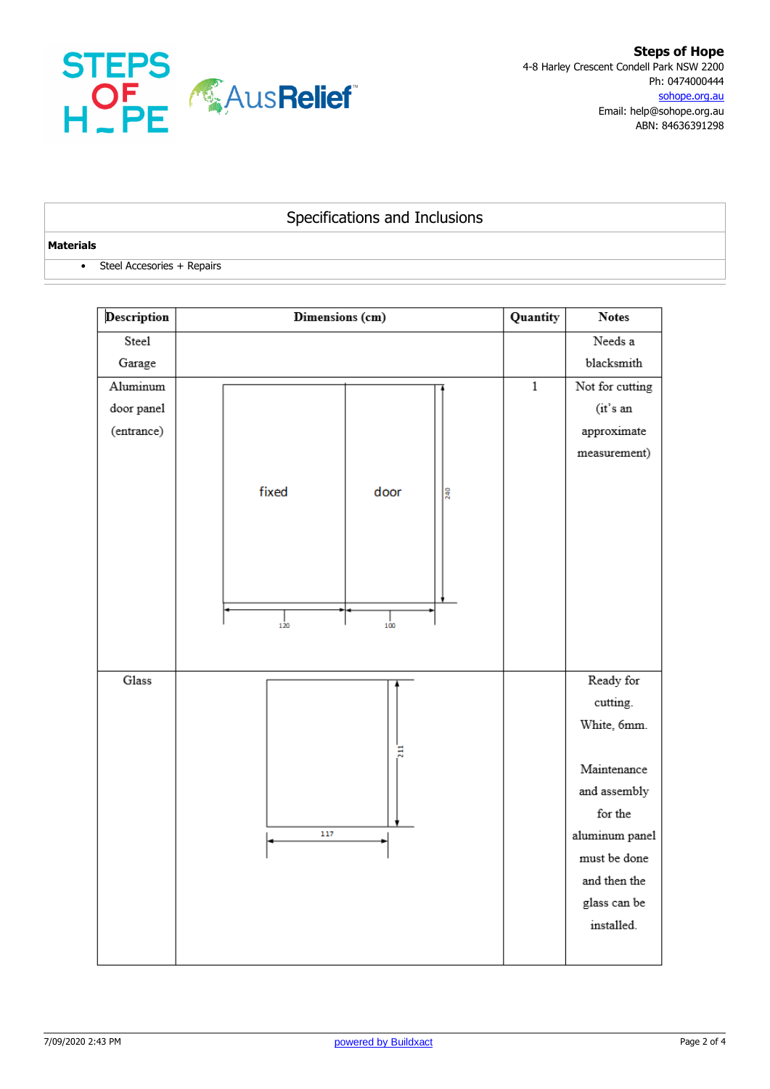

## Specifications and Inclusions

#### **Materials**

• Steel Accesories + Repairs

| Description | Dimensions (cm)                    | Quantity     | <b>Notes</b>    |  |
|-------------|------------------------------------|--------------|-----------------|--|
| Steel       |                                    |              | Needs a         |  |
| Garage      |                                    |              | blacksmith      |  |
| Aluminum    |                                    | $\mathbf{1}$ | Not for cutting |  |
| door panel  |                                    |              | (it's an        |  |
| (entrance)  |                                    |              | approximate     |  |
|             |                                    |              | measurement)    |  |
|             |                                    |              |                 |  |
|             | fixed<br>door<br>240               |              |                 |  |
|             |                                    |              |                 |  |
|             |                                    |              |                 |  |
|             |                                    |              |                 |  |
|             |                                    |              |                 |  |
|             |                                    |              |                 |  |
|             | $\frac{1}{100}$<br>$\frac{1}{120}$ |              |                 |  |
|             |                                    |              |                 |  |
| Glass       |                                    |              | Ready for       |  |
|             |                                    |              | cutting.        |  |
|             |                                    |              | White, 6mm.     |  |
|             | Ξ                                  |              |                 |  |
|             |                                    |              | Maintenance     |  |
|             |                                    |              | and assembly    |  |
|             |                                    |              | for the         |  |
|             | 117                                |              | aluminum panel  |  |
|             |                                    |              | must be done    |  |
|             |                                    |              | and then the    |  |
|             |                                    |              | glass can be    |  |
|             |                                    |              | installed.      |  |
|             |                                    |              |                 |  |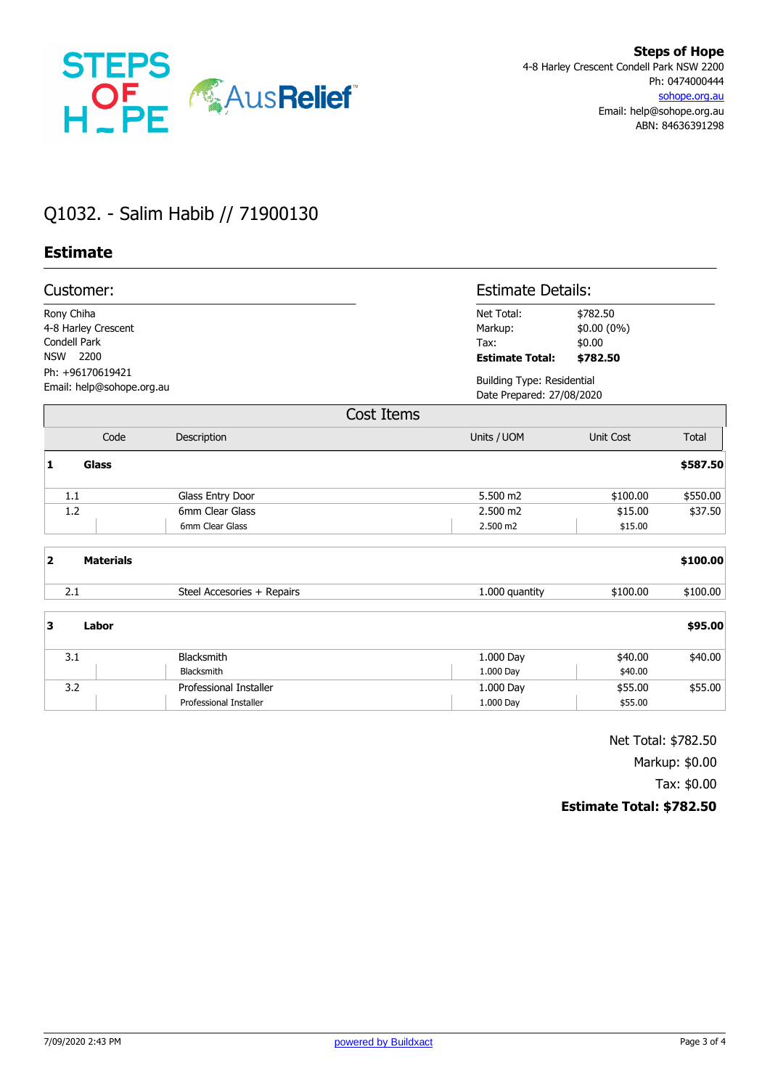

# Q1032. - Salim Habib // 71900130

### **Estimate**

| Customer:<br>Rony Chiha<br>4-8 Harley Crescent<br>Condell Park<br>2200<br><b>NSW</b><br>Ph: +96170619421<br>Email: help@sohope.org.au |                  |                               |                                                                | <b>Estimate Details:</b> |              |  |  |
|---------------------------------------------------------------------------------------------------------------------------------------|------------------|-------------------------------|----------------------------------------------------------------|--------------------------|--------------|--|--|
|                                                                                                                                       |                  |                               | Net Total:<br>Markup:<br>Tax:<br><b>Estimate Total:</b>        |                          |              |  |  |
|                                                                                                                                       |                  |                               | <b>Building Type: Residential</b><br>Date Prepared: 27/08/2020 |                          |              |  |  |
|                                                                                                                                       |                  | Cost Items                    |                                                                |                          |              |  |  |
|                                                                                                                                       | Code             | Description                   | Units / UOM                                                    | <b>Unit Cost</b>         | <b>Total</b> |  |  |
| 1                                                                                                                                     | <b>Glass</b>     |                               |                                                                |                          | \$587.50     |  |  |
|                                                                                                                                       | 1.1              | Glass Entry Door              | 5.500 m2                                                       | \$100.00                 | \$550.00     |  |  |
|                                                                                                                                       | 1.2              | 6mm Clear Glass               | 2.500 m2                                                       | \$15.00                  | \$37.50      |  |  |
|                                                                                                                                       |                  | 6mm Clear Glass               | 2.500 m2                                                       | \$15.00                  |              |  |  |
| $\overline{\mathbf{2}}$                                                                                                               | <b>Materials</b> |                               |                                                                |                          | \$100.00     |  |  |
|                                                                                                                                       | 2.1              | Steel Accesories + Repairs    | 1.000 quantity                                                 | \$100.00                 | \$100.00     |  |  |
| 3                                                                                                                                     | Labor            |                               |                                                                |                          | \$95.00      |  |  |
|                                                                                                                                       | 3.1              | Blacksmith                    | 1.000 Day                                                      | \$40.00                  | \$40.00      |  |  |
|                                                                                                                                       |                  | Blacksmith                    | 1.000 Day                                                      | \$40.00                  |              |  |  |
|                                                                                                                                       | 3.2              | Professional Installer        | 1.000 Day                                                      | \$55.00                  | \$55.00      |  |  |
|                                                                                                                                       |                  | <b>Professional Installer</b> | 1.000 Day                                                      | \$55.00                  |              |  |  |

Net Total: \$782.50

Markup: \$0.00

Tax: \$0.00

**Estimate Total: \$782.50**